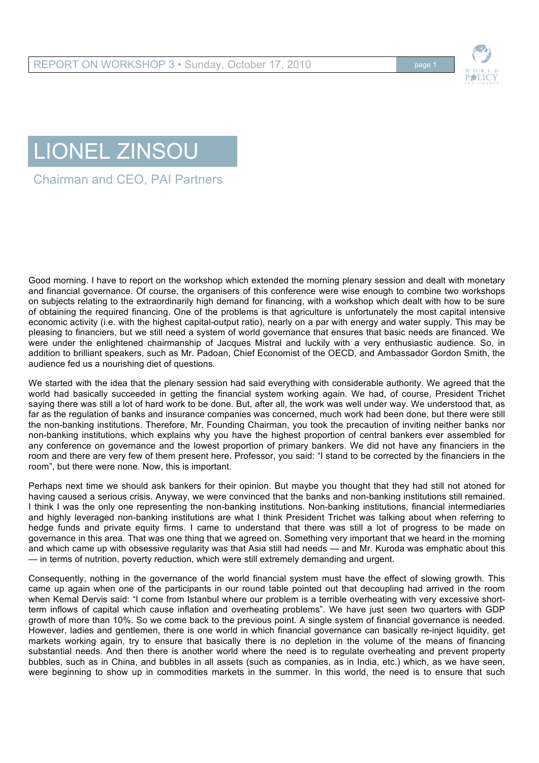

## LIONEL ZINSOU

Chairman and CEO, PAI Partners

Good morning. I have to report on the workshop which extended the morning plenary session and dealt with monetary and financial governance. Of course, the organisers of this conference were wise enough to combine two workshops on subjects relating to the extraordinarily high demand for financing, with a workshop which dealt with how to be sure of obtaining the required financing. One of the problems is that agriculture is unfortunately the most capital intensive economic activity (i.e. with the highest capital-output ratio), nearly on a par with energy and water supply. This may be pleasing to financiers, but we still need a system of world governance that ensures that basic needs are financed. We were under the enlightened chairmanship of Jacques Mistral and luckily with a very enthusiastic audience. So, in addition to brilliant speakers, such as Mr. Padoan, Chief Economist of the OECD, and Ambassador Gordon Smith, the audience fed us a nourishing diet of questions.

We started with the idea that the plenary session had said everything with considerable authority. We agreed that the world had basically succeeded in getting the financial system working again. We had, of course, President Trichet saying there was still a lot of hard work to be done. But, after all, the work was well under way. We understood that, as far as the regulation of banks and insurance companies was concerned, much work had been done, but there were still the non-banking institutions. Therefore, Mr. Founding Chairman, you took the precaution of inviting neither banks nor non-banking institutions, which explains why you have the highest proportion of central bankers ever assembled for any conference on governance and the lowest proportion of primary bankers. We did not have any financiers in the room and there are very few of them present here. Professor, you said: "I stand to be corrected by the financiers in the room", but there were none. Now, this is important.

Perhaps next time we should ask bankers for their opinion. But maybe you thought that they had still not atoned for having caused a serious crisis. Anyway, we were convinced that the banks and non-banking institutions still remained. I think I was the only one representing the non-banking institutions. Non-banking institutions, financial intermediaries and highly leveraged non-banking institutions are what I think President Trichet was talking about when referring to hedge funds and private equity firms. I came to understand that there was still a lot of progress to be made on governance in this area. That was one thing that we agreed on. Something very important that we heard in the morning and which came up with obsessive regularity was that Asia still had needs — and Mr. Kuroda was emphatic about this — in terms of nutrition, poverty reduction, which were still extremely demanding and urgent.

Consequently, nothing in the governance of the world financial system must have the effect of slowing growth. This came up again when one of the participants in our round table pointed out that decoupling had arrived in the room when Kemal Dervis said: "I come from Istanbul where our problem is a terrible overheating with very excessive shortterm inflows of capital which cause inflation and overheating problems". We have just seen two quarters with GDP growth of more than 10%. So we come back to the previous point. A single system of financial governance is needed. However, ladies and gentlemen, there is one world in which financial governance can basically re-inject liquidity, get markets working again, try to ensure that basically there is no depletion in the volume of the means of financing substantial needs. And then there is another world where the need is to regulate overheating and prevent property bubbles, such as in China, and bubbles in all assets (such as companies, as in India, etc.) which, as we have seen, were beginning to show up in commodities markets in the summer. In this world, the need is to ensure that such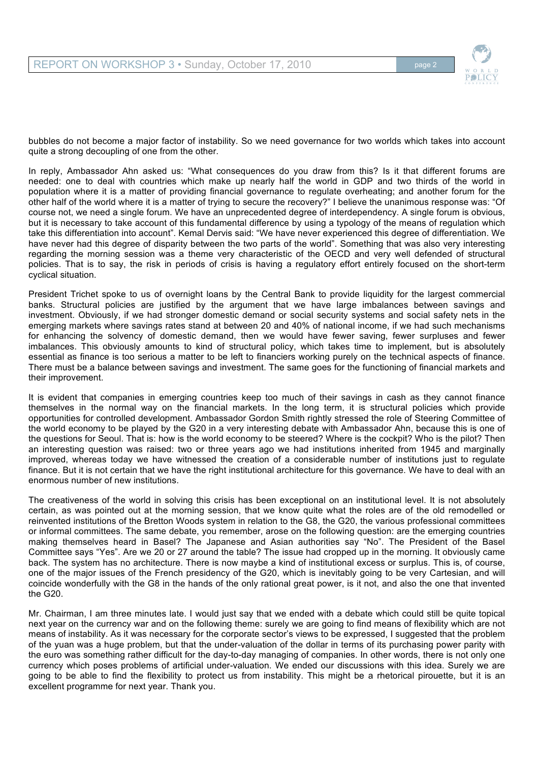

bubbles do not become a major factor of instability. So we need governance for two worlds which takes into account quite a strong decoupling of one from the other.

In reply, Ambassador Ahn asked us: "What consequences do you draw from this? Is it that different forums are needed: one to deal with countries which make up nearly half the world in GDP and two thirds of the world in population where it is a matter of providing financial governance to regulate overheating; and another forum for the other half of the world where it is a matter of trying to secure the recovery?" I believe the unanimous response was: "Of course not, we need a single forum. We have an unprecedented degree of interdependency. A single forum is obvious, but it is necessary to take account of this fundamental difference by using a typology of the means of regulation which take this differentiation into account". Kemal Dervis said: "We have never experienced this degree of differentiation. We have never had this degree of disparity between the two parts of the world". Something that was also very interesting regarding the morning session was a theme very characteristic of the OECD and very well defended of structural policies. That is to say, the risk in periods of crisis is having a regulatory effort entirely focused on the short-term cyclical situation.

President Trichet spoke to us of overnight loans by the Central Bank to provide liquidity for the largest commercial banks. Structural policies are justified by the argument that we have large imbalances between savings and investment. Obviously, if we had stronger domestic demand or social security systems and social safety nets in the emerging markets where savings rates stand at between 20 and 40% of national income, if we had such mechanisms for enhancing the solvency of domestic demand, then we would have fewer saving, fewer surpluses and fewer imbalances. This obviously amounts to kind of structural policy, which takes time to implement, but is absolutely essential as finance is too serious a matter to be left to financiers working purely on the technical aspects of finance. There must be a balance between savings and investment. The same goes for the functioning of financial markets and their improvement.

It is evident that companies in emerging countries keep too much of their savings in cash as they cannot finance themselves in the normal way on the financial markets. In the long term, it is structural policies which provide opportunities for controlled development. Ambassador Gordon Smith rightly stressed the role of Steering Committee of the world economy to be played by the G20 in a very interesting debate with Ambassador Ahn, because this is one of the questions for Seoul. That is: how is the world economy to be steered? Where is the cockpit? Who is the pilot? Then an interesting question was raised: two or three years ago we had institutions inherited from 1945 and marginally improved, whereas today we have witnessed the creation of a considerable number of institutions just to regulate finance. But it is not certain that we have the right institutional architecture for this governance. We have to deal with an enormous number of new institutions.

The creativeness of the world in solving this crisis has been exceptional on an institutional level. It is not absolutely certain, as was pointed out at the morning session, that we know quite what the roles are of the old remodelled or reinvented institutions of the Bretton Woods system in relation to the G8, the G20, the various professional committees or informal committees. The same debate, you remember, arose on the following question: are the emerging countries making themselves heard in Basel? The Japanese and Asian authorities say "No". The President of the Basel Committee says "Yes". Are we 20 or 27 around the table? The issue had cropped up in the morning. It obviously came back. The system has no architecture. There is now maybe a kind of institutional excess or surplus. This is, of course, one of the major issues of the French presidency of the G20, which is inevitably going to be very Cartesian, and will coincide wonderfully with the G8 in the hands of the only rational great power, is it not, and also the one that invented the G20.

Mr. Chairman, I am three minutes late. I would just say that we ended with a debate which could still be quite topical next year on the currency war and on the following theme: surely we are going to find means of flexibility which are not means of instability. As it was necessary for the corporate sector's views to be expressed, I suggested that the problem of the yuan was a huge problem, but that the under-valuation of the dollar in terms of its purchasing power parity with the euro was something rather difficult for the day-to-day managing of companies. In other words, there is not only one currency which poses problems of artificial under-valuation. We ended our discussions with this idea. Surely we are going to be able to find the flexibility to protect us from instability. This might be a rhetorical pirouette, but it is an excellent programme for next year. Thank you.